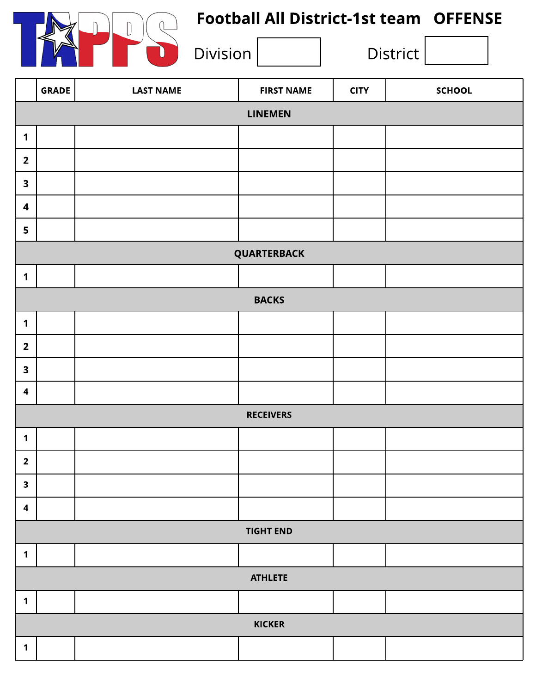

# Football All District-1st team OFFENSE

|                         | <b>GRADE</b>     | <b>LAST NAME</b> | <b>FIRST NAME</b> | <b>CITY</b> | <b>SCHOOL</b> |  |  |
|-------------------------|------------------|------------------|-------------------|-------------|---------------|--|--|
| <b>LINEMEN</b>          |                  |                  |                   |             |               |  |  |
| $\mathbf{1}$            |                  |                  |                   |             |               |  |  |
| $\overline{2}$          |                  |                  |                   |             |               |  |  |
| $\overline{\mathbf{3}}$ |                  |                  |                   |             |               |  |  |
| $\overline{\mathbf{4}}$ |                  |                  |                   |             |               |  |  |
| 5                       |                  |                  |                   |             |               |  |  |
|                         | QUARTERBACK      |                  |                   |             |               |  |  |
| $\mathbf 1$             |                  |                  |                   |             |               |  |  |
|                         |                  |                  | <b>BACKS</b>      |             |               |  |  |
| $\mathbf 1$             |                  |                  |                   |             |               |  |  |
| $\overline{2}$          |                  |                  |                   |             |               |  |  |
| $\overline{\mathbf{3}}$ |                  |                  |                   |             |               |  |  |
| $\boldsymbol{4}$        |                  |                  |                   |             |               |  |  |
|                         |                  |                  | <b>RECEIVERS</b>  |             |               |  |  |
| $\mathbf 1$             |                  |                  |                   |             |               |  |  |
| $\overline{\mathbf{2}}$ |                  |                  |                   |             |               |  |  |
| $\mathbf{3}$            |                  |                  |                   |             |               |  |  |
| $\overline{\mathbf{4}}$ |                  |                  |                   |             |               |  |  |
|                         | <b>TIGHT END</b> |                  |                   |             |               |  |  |
| $\mathbf 1$             |                  |                  |                   |             |               |  |  |
|                         | <b>ATHLETE</b>   |                  |                   |             |               |  |  |
| $\mathbf 1$             |                  |                  |                   |             |               |  |  |
|                         | <b>KICKER</b>    |                  |                   |             |               |  |  |
| $\mathbf 1$             |                  |                  |                   |             |               |  |  |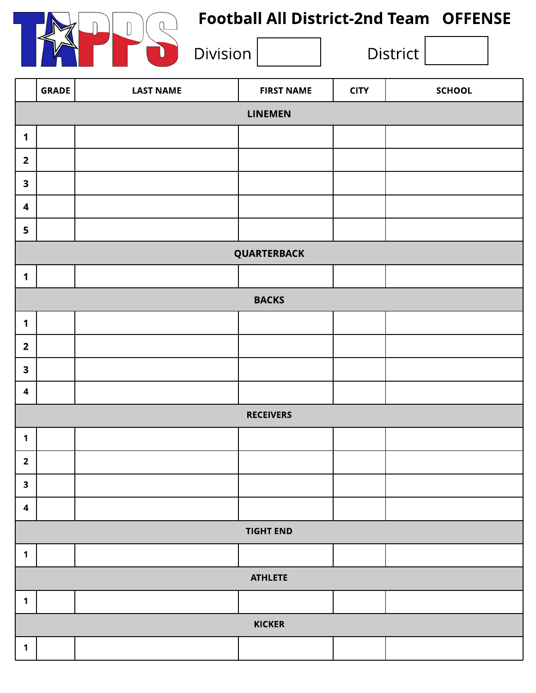

## Football All District-2nd Team OFFENSE

|                         | <b>GRADE</b>     | <b>LAST NAME</b> | <b>FIRST NAME</b> | <b>CITY</b> | <b>SCHOOL</b> |  |  |
|-------------------------|------------------|------------------|-------------------|-------------|---------------|--|--|
| <b>LINEMEN</b>          |                  |                  |                   |             |               |  |  |
| $\mathbf 1$             |                  |                  |                   |             |               |  |  |
| $\overline{2}$          |                  |                  |                   |             |               |  |  |
| $\overline{\mathbf{3}}$ |                  |                  |                   |             |               |  |  |
| $\boldsymbol{4}$        |                  |                  |                   |             |               |  |  |
| 5                       |                  |                  |                   |             |               |  |  |
|                         |                  |                  | QUARTERBACK       |             |               |  |  |
| $\mathbf 1$             |                  |                  |                   |             |               |  |  |
|                         | <b>BACKS</b>     |                  |                   |             |               |  |  |
| $\mathbf 1$             |                  |                  |                   |             |               |  |  |
| $\overline{2}$          |                  |                  |                   |             |               |  |  |
| $\overline{\mathbf{3}}$ |                  |                  |                   |             |               |  |  |
| $\boldsymbol{4}$        |                  |                  |                   |             |               |  |  |
|                         |                  |                  | <b>RECEIVERS</b>  |             |               |  |  |
| $\mathbf 1$             |                  |                  |                   |             |               |  |  |
| $\overline{\mathbf{2}}$ |                  |                  |                   |             |               |  |  |
| $\mathbf{3}$            |                  |                  |                   |             |               |  |  |
| $\overline{\mathbf{4}}$ |                  |                  |                   |             |               |  |  |
|                         | <b>TIGHT END</b> |                  |                   |             |               |  |  |
| $\mathbf 1$             |                  |                  |                   |             |               |  |  |
| <b>ATHLETE</b>          |                  |                  |                   |             |               |  |  |
| $\mathbf 1$             |                  |                  |                   |             |               |  |  |
| <b>KICKER</b>           |                  |                  |                   |             |               |  |  |
| $\mathbf{1}$            |                  |                  |                   |             |               |  |  |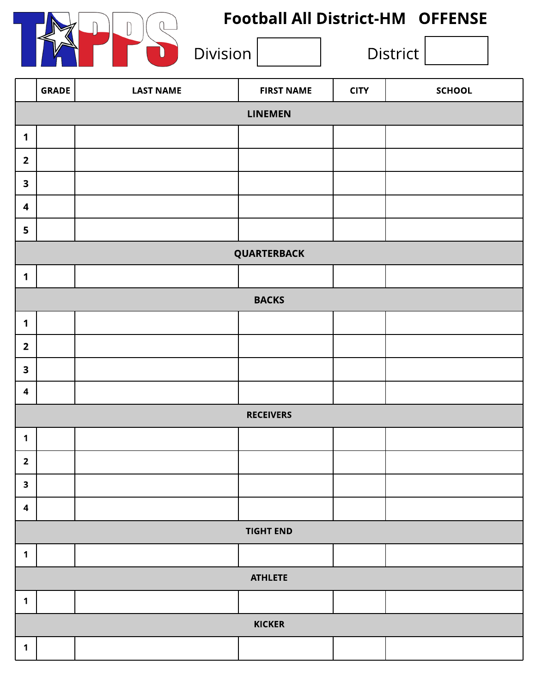

#### Football All District-HM OFFENSE

|                         | <b>GRADE</b>   | <b>LAST NAME</b> | <b>FIRST NAME</b> | <b>CITY</b> | <b>SCHOOL</b> |  |  |
|-------------------------|----------------|------------------|-------------------|-------------|---------------|--|--|
| <b>LINEMEN</b>          |                |                  |                   |             |               |  |  |
| $\mathbf 1$             |                |                  |                   |             |               |  |  |
| $\overline{2}$          |                |                  |                   |             |               |  |  |
| $\overline{\mathbf{3}}$ |                |                  |                   |             |               |  |  |
| $\boldsymbol{4}$        |                |                  |                   |             |               |  |  |
| $\overline{\mathbf{5}}$ |                |                  |                   |             |               |  |  |
|                         | QUARTERBACK    |                  |                   |             |               |  |  |
| $\mathbf 1$             |                |                  |                   |             |               |  |  |
|                         |                |                  | <b>BACKS</b>      |             |               |  |  |
| $\mathbf 1$             |                |                  |                   |             |               |  |  |
| $\overline{\mathbf{2}}$ |                |                  |                   |             |               |  |  |
| $\overline{\mathbf{3}}$ |                |                  |                   |             |               |  |  |
| $\overline{\mathbf{4}}$ |                |                  |                   |             |               |  |  |
|                         |                |                  | <b>RECEIVERS</b>  |             |               |  |  |
| $\mathbf 1$             |                |                  |                   |             |               |  |  |
| $\overline{\mathbf{2}}$ |                |                  |                   |             |               |  |  |
| $\mathbf{3}$            |                |                  |                   |             |               |  |  |
| $\overline{\mathbf{4}}$ |                |                  |                   |             |               |  |  |
| <b>TIGHT END</b>        |                |                  |                   |             |               |  |  |
| $\mathbf 1$             |                |                  |                   |             |               |  |  |
|                         | <b>ATHLETE</b> |                  |                   |             |               |  |  |
| $\mathbf 1$             |                |                  |                   |             |               |  |  |
|                         |                |                  | <b>KICKER</b>     |             |               |  |  |
| $\mathbf 1$             |                |                  |                   |             |               |  |  |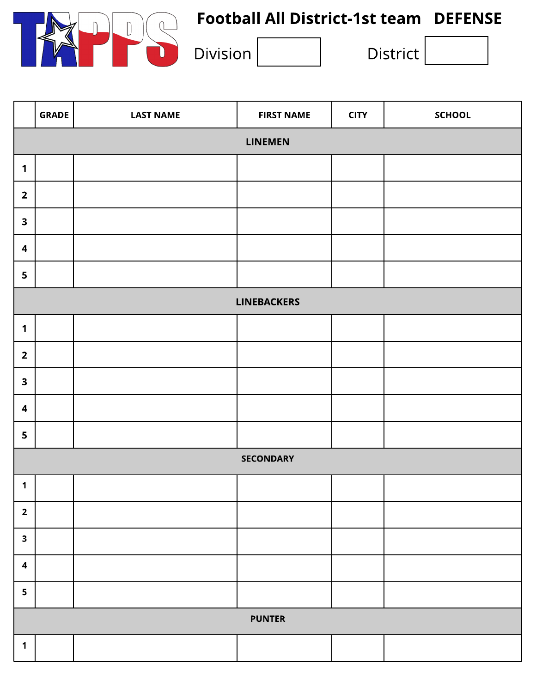

# Football All District-1st team DEFENSE

|                         | <b>GRADE</b>       | <b>LAST NAME</b> | <b>FIRST NAME</b> | <b>CITY</b> | <b>SCHOOL</b> |  |  |  |
|-------------------------|--------------------|------------------|-------------------|-------------|---------------|--|--|--|
| LINEMEN                 |                    |                  |                   |             |               |  |  |  |
| $\mathbf 1$             |                    |                  |                   |             |               |  |  |  |
| $\overline{\mathbf{2}}$ |                    |                  |                   |             |               |  |  |  |
| $\overline{\mathbf{3}}$ |                    |                  |                   |             |               |  |  |  |
| $\boldsymbol{4}$        |                    |                  |                   |             |               |  |  |  |
| 5                       |                    |                  |                   |             |               |  |  |  |
|                         | <b>LINEBACKERS</b> |                  |                   |             |               |  |  |  |
| $\mathbf 1$             |                    |                  |                   |             |               |  |  |  |
| $\overline{2}$          |                    |                  |                   |             |               |  |  |  |
| $\overline{\mathbf{3}}$ |                    |                  |                   |             |               |  |  |  |
| $\boldsymbol{4}$        |                    |                  |                   |             |               |  |  |  |
| 5                       |                    |                  |                   |             |               |  |  |  |
|                         |                    |                  | <b>SECONDARY</b>  |             |               |  |  |  |
| $\mathbf 1$             |                    |                  |                   |             |               |  |  |  |
| $\overline{\mathbf{2}}$ |                    |                  |                   |             |               |  |  |  |
| $\overline{\mathbf{3}}$ |                    |                  |                   |             |               |  |  |  |
| $\overline{\mathbf{4}}$ |                    |                  |                   |             |               |  |  |  |
| 5                       |                    |                  |                   |             |               |  |  |  |
| <b>PUNTER</b>           |                    |                  |                   |             |               |  |  |  |
| $\mathbf 1$             |                    |                  |                   |             |               |  |  |  |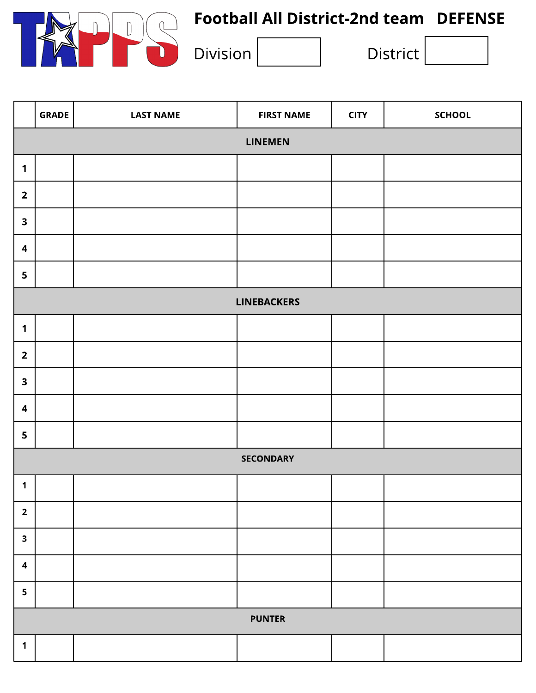

# Football All District-2nd team DEFENSE

|                         | <b>GRADE</b>   | <b>LAST NAME</b> | <b>FIRST NAME</b>  | <b>CITY</b> | <b>SCHOOL</b> |  |
|-------------------------|----------------|------------------|--------------------|-------------|---------------|--|
|                         | <b>LINEMEN</b> |                  |                    |             |               |  |
| $\mathbf 1$             |                |                  |                    |             |               |  |
| $\overline{\mathbf{2}}$ |                |                  |                    |             |               |  |
| $\mathbf{3}$            |                |                  |                    |             |               |  |
| $\overline{\mathbf{4}}$ |                |                  |                    |             |               |  |
| 5                       |                |                  |                    |             |               |  |
|                         |                |                  | <b>LINEBACKERS</b> |             |               |  |
| $\mathbf 1$             |                |                  |                    |             |               |  |
| $\overline{2}$          |                |                  |                    |             |               |  |
| $\overline{\mathbf{3}}$ |                |                  |                    |             |               |  |
| $\boldsymbol{4}$        |                |                  |                    |             |               |  |
| 5                       |                |                  |                    |             |               |  |
|                         |                |                  | <b>SECONDARY</b>   |             |               |  |
| $\mathbf 1$             |                |                  |                    |             |               |  |
| $\overline{\mathbf{2}}$ |                |                  |                    |             |               |  |
| $\overline{\mathbf{3}}$ |                |                  |                    |             |               |  |
| $\overline{\mathbf{4}}$ |                |                  |                    |             |               |  |
| 5                       |                |                  |                    |             |               |  |
| <b>PUNTER</b>           |                |                  |                    |             |               |  |
| $\mathbf 1$             |                |                  |                    |             |               |  |